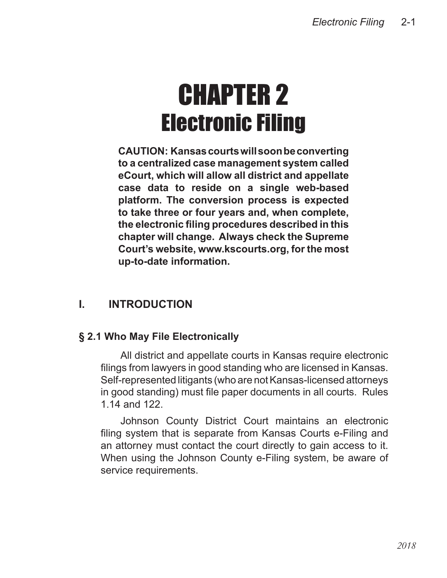# CHAPTER 2 Electronic Filing

**CAUTION: Kansascourtswillsoonbeconverting to a centralized case management system called eCourt, which will allow all district and appellate case data to reside on a single web-based platform. The conversion process is expected to take three or four years and, when complete, the electronic filing procedures described in this chapter will change. Always check the Supreme Court's website, www.kscourts.org, for the most up-to-date information.**

# **I. INTRODUCTION**

## **§ 2.1 Who May File Electronically**

All district and appellate courts in Kansas require electronic filings from lawyers in good standing who are licensed in Kansas. Self-represented litigants (who are not Kansas-licensed attorneys in good standing) must file paper documents in all courts. Rules 1.14 and 122.

Johnson County District Court maintains an electronic filing system that is separate from Kansas Courts e-Filing and an attorney must contact the court directly to gain access to it. When using the Johnson County e-Filing system, be aware of service requirements.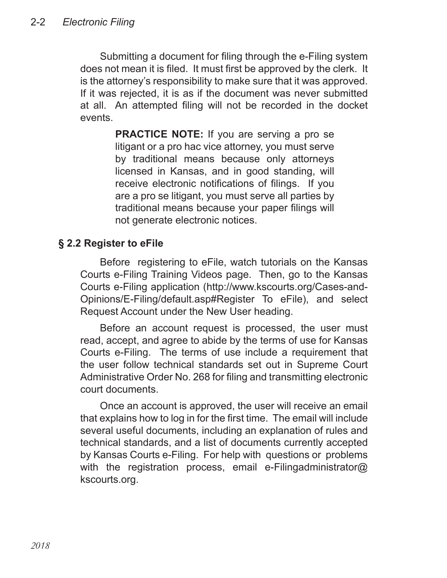Submitting a document for filing through the e-Filing system does not mean it is filed. It must first be approved by the clerk. It is the attorney's responsibility to make sure that it was approved. If it was rejected, it is as if the document was never submitted at all. An attempted filing will not be recorded in the docket events.

> **PRACTICE NOTE:** If you are serving a pro se litigant or a pro hac vice attorney, you must serve by traditional means because only attorneys licensed in Kansas, and in good standing, will receive electronic notifications of filings. If you are a pro se litigant, you must serve all parties by traditional means because your paper filings will not generate electronic notices.

## **§ 2.2 Register to eFile**

Before registering to eFile, watch tutorials on the Kansas Courts e-Filing Training Videos page. Then, go to the Kansas Courts e-Filing application (http://www.kscourts.org/Cases-and-Opinions/E-Filing/default.asp#Register To eFile), and select Request Account under the New User heading.

Before an account request is processed, the user must read, accept, and agree to abide by the terms of use for Kansas Courts e-Filing. The terms of use include a requirement that the user follow technical standards set out in Supreme Court Administrative Order No. 268 for filing and transmitting electronic court documents.

Once an account is approved, the user will receive an email that explains how to log in for the first time. The email will include several useful documents, including an explanation of rules and technical standards, and a list of documents currently accepted by Kansas Courts e-Filing. For help with questions or problems with the registration process, email e-Filingadministrator@ kscourts.org.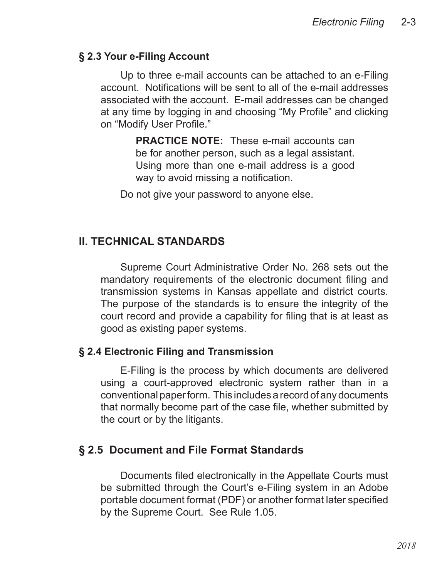#### **§ 2.3 Your e-Filing Account**

Up to three e-mail accounts can be attached to an e-Filing account. Notifications will be sent to all of the e-mail addresses associated with the account. E-mail addresses can be changed at any time by logging in and choosing "My Profile" and clicking on "Modify User Profile."

> **PRACTICE NOTE:** These e-mail accounts can be for another person, such as a legal assistant. Using more than one e-mail address is a good way to avoid missing a notification.

Do not give your password to anyone else.

## **II. TECHNICAL STANDARDS**

Supreme Court Administrative Order No. 268 sets out the mandatory requirements of the electronic document filing and transmission systems in Kansas appellate and district courts. The purpose of the standards is to ensure the integrity of the court record and provide a capability for filing that is at least as good as existing paper systems.

#### **§ 2.4 Electronic Filing and Transmission**

E-Filing is the process by which documents are delivered using a court-approved electronic system rather than in a conventional paper form. This includes a record of any documents that normally become part of the case file, whether submitted by the court or by the litigants.

#### **§ 2.5 Document and File Format Standards**

Documents filed electronically in the Appellate Courts must be submitted through the Court's e-Filing system in an Adobe portable document format (PDF) or another format later specified by the Supreme Court. See Rule 1.05.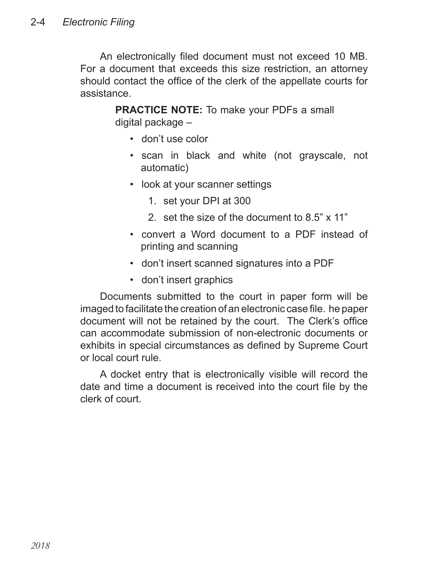An electronically filed document must not exceed 10 MB. For a document that exceeds this size restriction, an attorney should contact the office of the clerk of the appellate courts for assistance.

> **PRACTICE NOTE:** To make your PDFs a small digital package –

- don't use color
- scan in black and white (not grayscale, not automatic)
- look at your scanner settings
	- 1. set your DPI at 300
	- 2. set the size of the document to 8.5" x 11"
- convert a Word document to a PDF instead of printing and scanning
- don't insert scanned signatures into a PDF
- don't insert graphics

Documents submitted to the court in paper form will be imaged to facilitate the creation of an electronic case file. he paper document will not be retained by the court. The Clerk's office can accommodate submission of non-electronic documents or exhibits in special circumstances as defined by Supreme Court or local court rule.

A docket entry that is electronically visible will record the date and time a document is received into the court file by the clerk of court.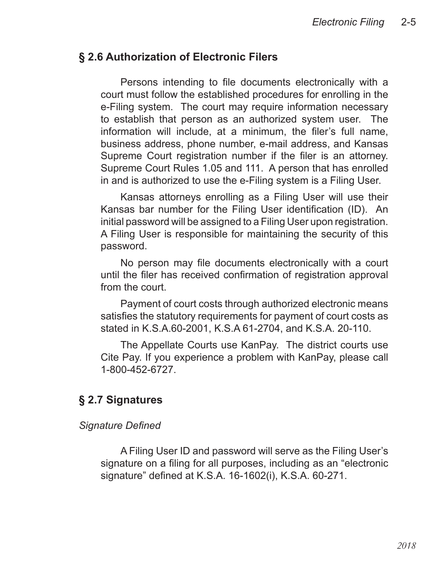#### **§ 2.6 Authorization of Electronic Filers**

Persons intending to file documents electronically with a court must follow the established procedures for enrolling in the e-Filing system. The court may require information necessary to establish that person as an authorized system user. The information will include, at a minimum, the filer's full name, business address, phone number, e-mail address, and Kansas Supreme Court registration number if the filer is an attorney. Supreme Court Rules 1.05 and 111. A person that has enrolled in and is authorized to use the e-Filing system is a Filing User.

Kansas attorneys enrolling as a Filing User will use their Kansas bar number for the Filing User identification (ID). An initial password will be assigned to a Filing User upon registration. A Filing User is responsible for maintaining the security of this password.

No person may file documents electronically with a court until the filer has received confirmation of registration approval from the court.

Payment of court costs through authorized electronic means satisfies the statutory requirements for payment of court costs as stated in K.S.A.60-2001, K.S.A 61-2704, and K.S.A. 20-110.

The Appellate Courts use KanPay. The district courts use Cite Pay. If you experience a problem with KanPay, please call 1-800-452-6727.

#### **§ 2.7 Signatures**

#### *Signature Defined*

A Filing User ID and password will serve as the Filing User's signature on a filing for all purposes, including as an "electronic signature" defined at K.S.A. 16-1602(i), K.S.A. 60-271.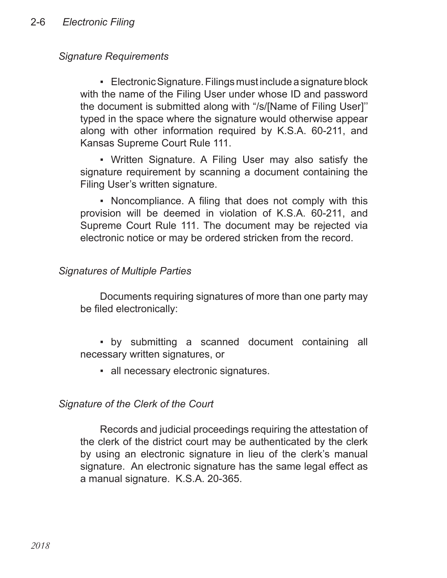## *Signature Requirements*

■ Electronic Signature. Filings must include a signature block with the name of the Filing User under whose ID and password the document is submitted along with "/s/[Name of Filing User]'' typed in the space where the signature would otherwise appear along with other information required by K.S.A. 60-211, and Kansas Supreme Court Rule 111.

▪ Written Signature. A Filing User may also satisfy the signature requirement by scanning a document containing the Filing User's written signature.

▪ Noncompliance. A filing that does not comply with this provision will be deemed in violation of K.S.A. 60-211, and Supreme Court Rule 111. The document may be rejected via electronic notice or may be ordered stricken from the record.

#### *Signatures of Multiple Parties*

Documents requiring signatures of more than one party may be filed electronically:

▪ by submitting a scanned document containing all necessary written signatures, or

▪ all necessary electronic signatures.

#### *Signature of the Clerk of the Court*

Records and judicial proceedings requiring the attestation of the clerk of the district court may be authenticated by the clerk by using an electronic signature in lieu of the clerk's manual signature. An electronic signature has the same legal effect as a manual signature. K.S.A. 20-365.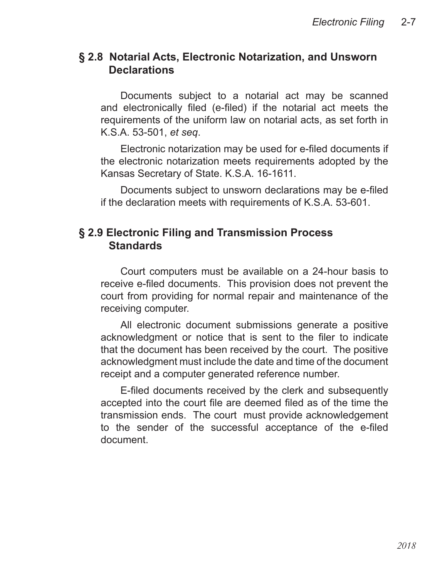#### **§ 2.8 Notarial Acts, Electronic Notarization, and Unsworn Declarations**

Documents subject to a notarial act may be scanned and electronically filed (e-filed) if the notarial act meets the requirements of the uniform law on notarial acts, as set forth in K.S.A. 53-501, *et seq*.

Electronic notarization may be used for e-filed documents if the electronic notarization meets requirements adopted by the Kansas Secretary of State. K.S.A. 16-1611.

Documents subject to unsworn declarations may be e-filed if the declaration meets with requirements of K.S.A. 53-601.

#### **§ 2.9 Electronic Filing and Transmission Process Standards**

Court computers must be available on a 24-hour basis to receive e-filed documents. This provision does not prevent the court from providing for normal repair and maintenance of the receiving computer.

All electronic document submissions generate a positive acknowledgment or notice that is sent to the filer to indicate that the document has been received by the court. The positive acknowledgment must include the date and time of the document receipt and a computer generated reference number.

E-filed documents received by the clerk and subsequently accepted into the court file are deemed filed as of the time the transmission ends. The court must provide acknowledgement to the sender of the successful acceptance of the e-filed document.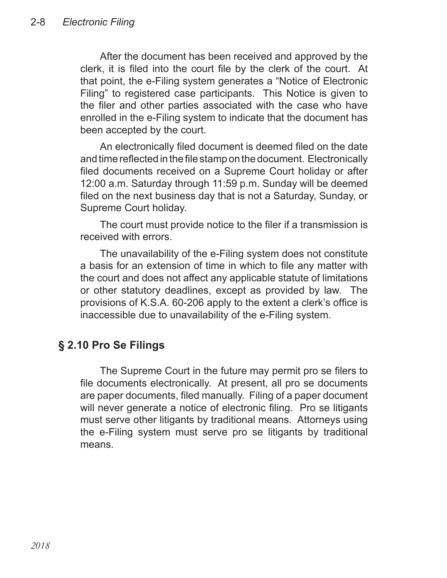After the document has been received and approved by the clerk, it is filed into the court file by the clerk of the court. At that point, the e-Filing system generates a "Notice of Electronic Filing" to registered case participants. This Notice is given to the filer and other parties associated with the case who have enrolled in the e-Filing system to indicate that the document has been accepted by the court.

An electronically filed document is deemed filed on the date and time reflected in the file stamp on the document. Electronically filed documents received on a Supreme Court holiday or after 12:00 a.m. Saturday through 11:59 p.m. Sunday will be deemed filed on the next business day that is not a Saturday, Sunday, or Supreme Court holiday.

The court must provide notice to the filer if a transmission is received with errors.

The unavailability of the e-Filing system does not constitute a basis for an extension of time in which to file any matter with the court and does not affect any applicable statute of limitations or other statutory deadlines, except as provided by law. The provisions of K.S.A. 60-206 apply to the extent a clerk's office is inaccessible due to unavailability of the e-Filing system.

## **§ 2.10 Pro Se Filings**

The Supreme Court in the future may permit pro se filers to file documents electronically. At present, all pro se documents are paper documents, filed manually. Filing of a paper document will never generate a notice of electronic filing. Pro se litigants must serve other litigants by traditional means. Attorneys using the e-Filing system must serve pro se litigants by traditional means.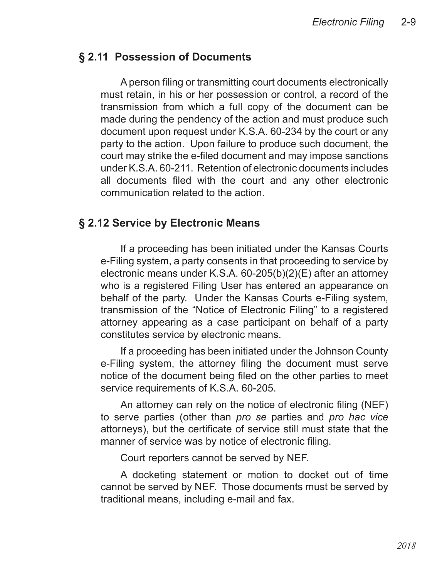## **§ 2.11 Possession of Documents**

A person filing or transmitting court documents electronically must retain, in his or her possession or control, a record of the transmission from which a full copy of the document can be made during the pendency of the action and must produce such document upon request under K.S.A. 60-234 by the court or any party to the action. Upon failure to produce such document, the court may strike the e-filed document and may impose sanctions under K.S.A. 60-211. Retention of electronic documents includes all documents filed with the court and any other electronic communication related to the action.

## **§ 2.12 Service by Electronic Means**

If a proceeding has been initiated under the Kansas Courts e-Filing system, a party consents in that proceeding to service by electronic means under K.S.A. 60-205(b)(2)(E) after an attorney who is a registered Filing User has entered an appearance on behalf of the party. Under the Kansas Courts e-Filing system, transmission of the "Notice of Electronic Filing" to a registered attorney appearing as a case participant on behalf of a party constitutes service by electronic means.

If a proceeding has been initiated under the Johnson County e-Filing system, the attorney filing the document must serve notice of the document being filed on the other parties to meet service requirements of K.S.A. 60-205.

An attorney can rely on the notice of electronic filing (NEF) to serve parties (other than *pro se* parties and *pro hac vice* attorneys), but the certificate of service still must state that the manner of service was by notice of electronic filing.

Court reporters cannot be served by NEF.

A docketing statement or motion to docket out of time cannot be served by NEF. Those documents must be served by traditional means, including e-mail and fax.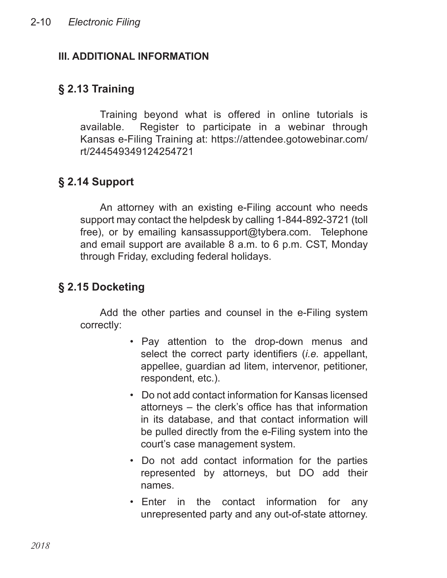## **III. ADDITIONAL INFORMATION**

# **§ 2.13 Training**

Training beyond what is offered in online tutorials is available. Register to participate in a webinar through Kansas e-Filing Training at: https://attendee.gotowebinar.com/ rt/244549349124254721

# **§ 2.14 Support**

An attorney with an existing e-Filing account who needs support may contact the helpdesk by calling 1-844-892-3721 (toll free), or by emailing kansassupport@tybera.com. Telephone and email support are available 8 a.m. to 6 p.m. CST, Monday through Friday, excluding federal holidays.

# **§ 2.15 Docketing**

Add the other parties and counsel in the e-Filing system correctly:

- Pay attention to the drop-down menus and select the correct party identifiers (*i.e.* appellant, appellee, guardian ad litem, intervenor, petitioner, respondent, etc.).
- Do not add contact information for Kansas licensed attorneys – the clerk's office has that information in its database, and that contact information will be pulled directly from the e-Filing system into the court's case management system.
- Do not add contact information for the parties represented by attorneys, but DO add their names.
- Enter in the contact information for any unrepresented party and any out-of-state attorney.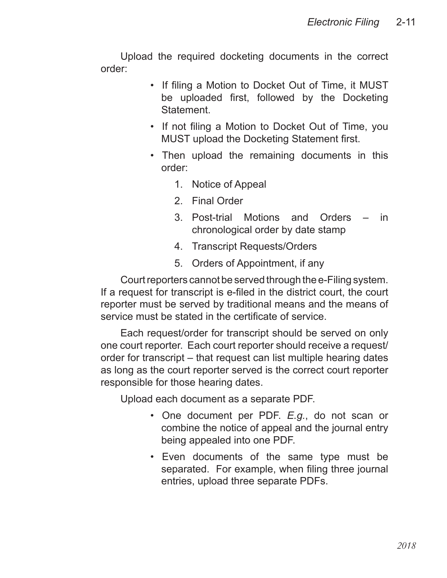Upload the required docketing documents in the correct order:

- If filing a Motion to Docket Out of Time, it MUST be uploaded first, followed by the Docketing **Statement**
- If not filing a Motion to Docket Out of Time, you MUST upload the Docketing Statement first.
- Then upload the remaining documents in this order:
	- 1. Notice of Appeal
	- 2. Final Order
	- 3. Post-trial Motions and Orders in chronological order by date stamp
	- 4. Transcript Requests/Orders
	- 5. Orders of Appointment, if any

Court reporters cannot be served through the e-Filing system. If a request for transcript is e-filed in the district court, the court reporter must be served by traditional means and the means of service must be stated in the certificate of service.

Each request/order for transcript should be served on only one court reporter. Each court reporter should receive a request/ order for transcript – that request can list multiple hearing dates as long as the court reporter served is the correct court reporter responsible for those hearing dates.

Upload each document as a separate PDF.

- One document per PDF. *E.g.*, do not scan or combine the notice of appeal and the journal entry being appealed into one PDF.
- Even documents of the same type must be •separated. For example, when filing three journal entries, upload three separate PDFs.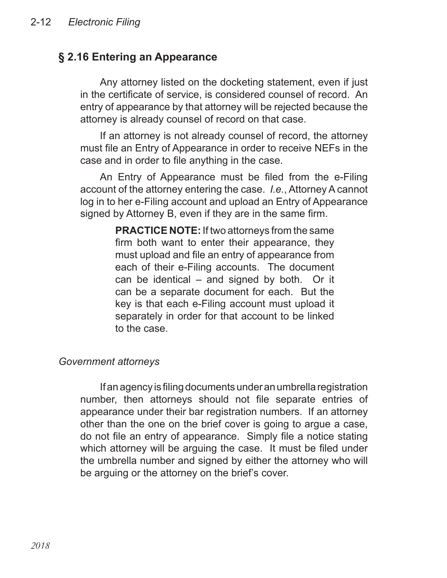## **§ 2.16 Entering an Appearance**

Any attorney listed on the docketing statement, even if just in the certificate of service, is considered counsel of record. An entry of appearance by that attorney will be rejected because the attorney is already counsel of record on that case.

If an attorney is not already counsel of record, the attorney must file an Entry of Appearance in order to receive NEFs in the case and in order to file anything in the case.

An Entry of Appearance must be filed from the e-Filing account of the attorney entering the case. *I.e.*, Attorney A cannot log in to her e-Filing account and upload an Entry of Appearance signed by Attorney B, even if they are in the same firm.

> **PRACTICE NOTE:** If two attorneys from the same firm both want to enter their appearance, they must upload and file an entry of appearance from each of their e-Filing accounts. The document can be identical – and signed by both. Or it can be a separate document for each. But the key is that each e-Filing account must upload it separately in order for that account to be linked to the case.

#### *Government attorneys*

If an agency is filing documents under an umbrella registration number, then attorneys should not file separate entries of appearance under their bar registration numbers. If an attorney other than the one on the brief cover is going to argue a case, do not file an entry of appearance. Simply file a notice stating which attorney will be arguing the case. It must be filed under the umbrella number and signed by either the attorney who will be arguing or the attorney on the brief's cover.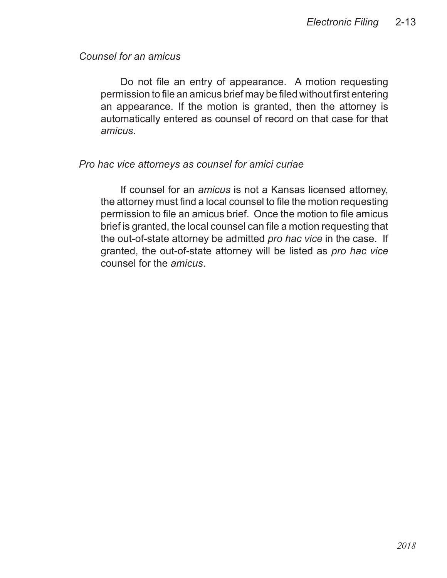#### *Counsel for an amicus*

Do not file an entry of appearance. A motion requesting permission to file an amicus brief may be filed without first entering an appearance. If the motion is granted, then the attorney is automatically entered as counsel of record on that case for that *amicus*.

#### *Pro hac vice attorneys as counsel for amici curiae*

If counsel for an *amicus* is not a Kansas licensed attorney, the attorney must find a local counsel to file the motion requesting permission to file an amicus brief. Once the motion to file amicus brief is granted, the local counsel can file a motion requesting that the out-of-state attorney be admitted *pro hac vice* in the case. If granted, the out-of-state attorney will be listed as *pro hac vice*  counsel for the *amicus*.